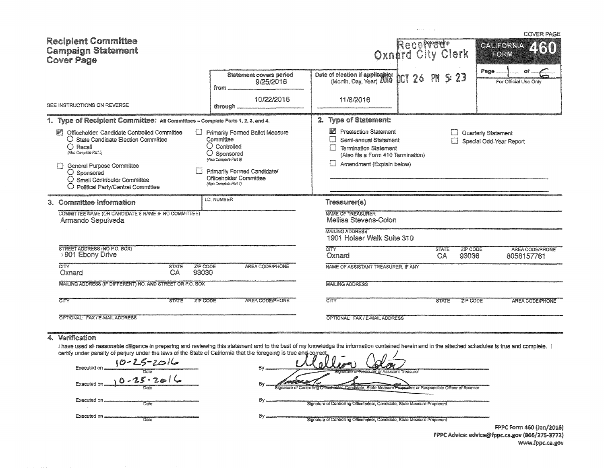|                                                                                                                                                                                                                                                                                             |                                                                                                                                                                                                            | sales professional de-                                                                                                                                   |                             | <b>COVER PAGE</b>                                |
|---------------------------------------------------------------------------------------------------------------------------------------------------------------------------------------------------------------------------------------------------------------------------------------------|------------------------------------------------------------------------------------------------------------------------------------------------------------------------------------------------------------|----------------------------------------------------------------------------------------------------------------------------------------------------------|-----------------------------|--------------------------------------------------|
| <b>Recipient Committee</b><br><b>Campaign Statement</b><br><b>Cover Page</b>                                                                                                                                                                                                                |                                                                                                                                                                                                            | Recefree Press                                                                                                                                           |                             | <b>CALIFORNIA</b><br>460<br>EORM                 |
|                                                                                                                                                                                                                                                                                             | Statement covers period<br>9/25/2016<br>from                                                                                                                                                               | Date of election if applicables<br>(Month, Day, Year) 2010<br>DCT 26                                                                                     | 5:23<br>PN                  | Page<br>For Official Use Only                    |
| SEE INSTRUCTIONS ON REVERSE                                                                                                                                                                                                                                                                 | 10/22/2016<br>through.                                                                                                                                                                                     | 11/8/2016                                                                                                                                                |                             |                                                  |
| 1. Type of Recipient Committee: All Committees - Complete Parts 1, 2, 3, and 4.                                                                                                                                                                                                             |                                                                                                                                                                                                            | 2. Type of Statement:                                                                                                                                    |                             |                                                  |
| Officeholder, Candidate Controlled Committee<br>$\mathbb{F}$<br>○ State Candidate Election Committee<br>$\bigcap$ Recall<br>(Also Complete Part 5)<br>General Purpose Committee<br>$\bigcirc$ Sponsored<br>$\bigcirc$ Small Contributor Committee<br>Political Party/Central Committee<br>O | Primarily Formed Ballot Measure<br>Committee<br>$\bigcirc$ Controlled<br>$\bigcirc$ Sponsored<br>(Also Complete Part 6)<br>Primarily Formed Candidate/<br>Officeholder Committee<br>(Also Complete Part 7) | <b>Preelection Statement</b><br>Semi-annual Statement<br><b>Termination Statement</b><br>(Also file a Form 410 Termination)<br>Amendment (Explain below) |                             | Quarterly Statement<br>Special Odd-Year Report   |
| 3. Committee Information                                                                                                                                                                                                                                                                    | <b>I.D. NUMBER</b>                                                                                                                                                                                         | Treasurer(s)                                                                                                                                             |                             |                                                  |
| COMMITTEE NAME (OR CANDIDATE'S NAME IF NO COMMITTEE)<br>Armando Sepulveda                                                                                                                                                                                                                   |                                                                                                                                                                                                            | <b>NAME OF TREASURER</b><br><b>Mellisa Stevens-Colon</b>                                                                                                 |                             |                                                  |
|                                                                                                                                                                                                                                                                                             |                                                                                                                                                                                                            | <b>MAILING ADDRESS</b><br>1901 Holser Walk Suite 310                                                                                                     |                             |                                                  |
| STREET ADDRESS (NO P.O. BOX)<br>3901 Ebony Drive                                                                                                                                                                                                                                            |                                                                                                                                                                                                            | <b>CITY</b><br>Oxnard                                                                                                                                    | <b>STATE</b><br>CA<br>93036 | ZIP CODE<br><b>AREA CODE/PHONE</b><br>8058157761 |
| $\overline{\text{C}^{\text{UV}}}$<br><b>STATE</b><br>Oxnard<br>CA                                                                                                                                                                                                                           | ZIP CODE<br>AREA CODE/PHONE<br>93030                                                                                                                                                                       | NAME OF ASSISTANT TREASURER, IF ANY                                                                                                                      |                             |                                                  |
| MAILING ADDRESS (IF DIFFERENT) NO. AND STREET OR P.O. BOX                                                                                                                                                                                                                                   |                                                                                                                                                                                                            | <b>MAILING ADDRESS</b>                                                                                                                                   |                             |                                                  |
| 7. TY<br><b>STATE</b>                                                                                                                                                                                                                                                                       | AREA CODE/PHONE<br>ZIP CODE                                                                                                                                                                                | <b>CITY</b>                                                                                                                                              | <b>STATE</b>                | <b>ZIP CODE</b><br>AREA CODE/PHONE               |
| OPTIONAL: FAX / E-MAIL ADDRESS                                                                                                                                                                                                                                                              |                                                                                                                                                                                                            | OPTIONAL: FAX / E-MAIL ADDRESS                                                                                                                           |                             |                                                  |
| Verification                                                                                                                                                                                                                                                                                |                                                                                                                                                                                                            |                                                                                                                                                          |                             |                                                  |

I have used all reasonable diligence in preparing and reviewing this statement and to the best of my knowledge the information contained herein and in the attached schedules is true and complete. I certify under penalty o

 $10 - 25 - 2016$ Executed on By lant Treasurer  $0 - 25 - 2016$ Executed on By of Controlling State Measure speakent or Responsible Officer of Sponsor Executed on ... By Signature of Controlling Officeholder, Candidate, State Measure Proponent Date<sup>r</sup> Executed on ..... By ensimale<br>Diato Signature of Controlling Officeholder, Candidate, State Measure Proponent

FPPC Form 460 (Jan/2016) FPPC Advice: advice@fppc.ca.gov (866/275-3772) www.fppc.ca.gov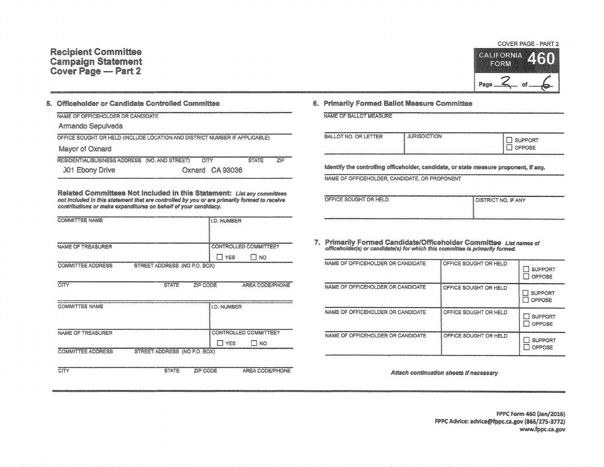

## 5. Officeholder or Candidate Controlled Committee

| NAME OF OFFICEHOLDER OR CANDIDATE                                          |                 |                     |  |
|----------------------------------------------------------------------------|-----------------|---------------------|--|
| Armando Sepulveda                                                          |                 |                     |  |
| OFFICE SOUGHT OR HELD (INCLUDE LOCATION AND DISTRICT NUMBER IF APPLICABLE) |                 |                     |  |
| Mayor of Oxnard                                                            |                 |                     |  |
| RESIDENTIAL/BUSINESS ADDRESS (NO. AND STREET)                              | CITY            | <b>STATE</b><br>ZIP |  |
| 301 Ebony Drive                                                            | Oxnard CA 93036 |                     |  |

Related Committees Not Included in this Statement: List any committees not included in this statement that are controlled by you or are primarily formed to receive contributions or make expenditures on behalf of your candidacy.

| <b>COMMITTEE NAME</b>                                    | <b>ILD. NUMBER</b>    |
|----------------------------------------------------------|-----------------------|
|                                                          |                       |
|                                                          |                       |
| NAME OF TREASURER                                        | CONTROLLED COMMITTEE? |
|                                                          | YES<br>NO             |
| <b>COMMITTEE ADDRESS</b><br>STREET ADDRESS (NO P.O. BOX) |                       |

| CITY                                                                                                                                                                                                                                                       | <b>STATE</b>                 | ZIP CODE        | <b>AREA CODE/PHONE</b> |
|------------------------------------------------------------------------------------------------------------------------------------------------------------------------------------------------------------------------------------------------------------|------------------------------|-----------------|------------------------|
|                                                                                                                                                                                                                                                            |                              |                 |                        |
| COMMITTEE NAME                                                                                                                                                                                                                                             |                              | II.D. NUMBER    |                        |
|                                                                                                                                                                                                                                                            |                              |                 |                        |
| NAME OF TREASURER                                                                                                                                                                                                                                          |                              |                 | CONTROLLED COMMITTEE?  |
|                                                                                                                                                                                                                                                            |                              | <b>YES</b><br>П | T NO                   |
| www.nietojaniana.com/https//www.nietojaniana.com/www.nietojaniana.com/www.nietojaniana.com/www.nietojaniana.com/www.nietojaniana/www.nietojaniana/www.nietojaniana/www.nietojaniana/www.nietojaniana/www.nietojaniana/www.niet<br><b>COMMITTEE ADDRESS</b> | STREET ADDRESS (NO P.O. BOX) |                 |                        |
|                                                                                                                                                                                                                                                            |                              |                 |                        |
| CITY                                                                                                                                                                                                                                                       | <b>STATE</b>                 | ZIP CODE        | AREA CODE/PHONE        |

## 6. Primarily Formed Ballot Measure Committee

NAME OF BALLOT MEASURE

| <b>BALLOT NO. OR LETTER</b> | <b>The committee of the function and committee of the committee of the committee of the committee of the committee</b><br><b>JURISDICTION</b> | <b>SUPPORT</b><br><b>OPPOSE</b> |
|-----------------------------|-----------------------------------------------------------------------------------------------------------------------------------------------|---------------------------------|
|                             |                                                                                                                                               |                                 |

Identify the controlling officeholder, candidate, or state measure proponent, if any.

NAME OF OFFICEHOLDER, CANDIDATE, OR PROPONENT

| distintificationalistationalistationalistationalistationalistationalistationalistationalistationalistationalistationalistationalistationalistationalistationalistationalistationalistationalistationalistationalistationalista<br>OFFICE SOUGHT OR HELD | <b>I DISTRICT NO. IF ANY</b> |
|---------------------------------------------------------------------------------------------------------------------------------------------------------------------------------------------------------------------------------------------------------|------------------------------|
|                                                                                                                                                                                                                                                         |                              |

7. Primarily Formed Candidate/Officeholder Committee List names of officeholder(s) or candidate(s) for which this committee is primarily formed.

| NAME OF OFFICEHOLDER OR CANDIDATE | OFFICE SOUGHT OR HELD | <b>SUPPORT</b><br>OPPOSE        |
|-----------------------------------|-----------------------|---------------------------------|
| NAME OF OFFICEHOLDER OR CANDIDATE | OFFICE SOUGHT OR HELD | <b>SUPPORT</b><br><b>OPPOSE</b> |
| NAME OF OFFICEHOLDER OR CANDIDATE | OFFICE SOUGHT OR HELD | <b>SUPPORT</b><br>OPPOSE<br>U   |
| NAME OF OFFICEHOLDER OR CANDIDATE | OFFICE SOUGHT OR HELD | <b>SUPPORT</b><br>OPPOSE        |

Attach continuation sheets if necessary

FPPC Form 460 (Jan/2016) FPPC Advice: advice@fppc.ca.gov (866/275-3772) www.fppc.ca.gov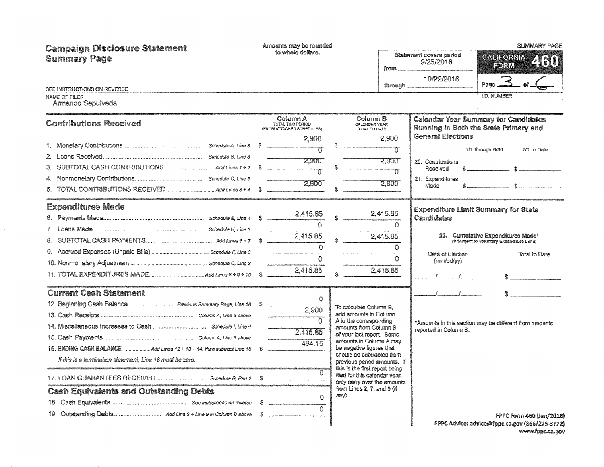| <b>Campaign Disclosure Statement</b><br><b>Summary Page</b>                                | Amounts may be rounded<br>to whole dollars.                                | $from \_\_$                                                                                                                                                                                                                                                                                                           | <b>SUMMARY PAGE</b><br><b>Statement covers period</b><br>CALIFORNIA Z (60)<br>9/25/2016<br>$E$ O $E$ $W$<br>10/22/2016<br>3<br>$P$ age $\equiv$                                                       |
|--------------------------------------------------------------------------------------------|----------------------------------------------------------------------------|-----------------------------------------------------------------------------------------------------------------------------------------------------------------------------------------------------------------------------------------------------------------------------------------------------------------------|-------------------------------------------------------------------------------------------------------------------------------------------------------------------------------------------------------|
| SEE INSTRUCTIONS ON REVERSE<br>NAME OF FILER                                               |                                                                            | through _                                                                                                                                                                                                                                                                                                             | <b>I.D. NUMBER</b>                                                                                                                                                                                    |
| Armando Sepulveda                                                                          |                                                                            |                                                                                                                                                                                                                                                                                                                       |                                                                                                                                                                                                       |
| <b>Contributions Received</b>                                                              | Column A<br>TOTAL THIS PERIOD<br>(FROM ATTACHED SCHEDULES)                 | Column B<br>CALENDAR YEAR<br>TOTAL TO DATE                                                                                                                                                                                                                                                                            | <b>Calendar Year Summary for Candidates</b><br>Running in Both the State Primary and                                                                                                                  |
|                                                                                            | 2.900<br>2.900<br>2,900                                                    | 2.900<br>π<br>2.900<br>$\tau$<br>2,900                                                                                                                                                                                                                                                                                | <b>General Elections</b><br>1/1 through 6/30<br>7/1 to Date<br>20. Contributions<br>Received<br>21. Expenditures<br>Made                                                                              |
| <b>Expenditures Made</b>                                                                   | 2,415.85<br>$\Omega$<br>2,415.85<br>$\mathbf 0$<br>$\Omega$<br>2,415.85    | 2.415.85<br>$\Omega$<br>2,415.85<br>Ō<br>$\Omega$<br>2,415.85                                                                                                                                                                                                                                                         | <b>Expenditure Limit Summary for State</b><br>Candidates<br>22. Cumulative Expenditures Made*<br>(If Subject to Voluntary Expenditure Limit)<br>Date of Election<br><b>Total to Date</b><br>(mm/dd/w) |
| <b>Current Cash Statement</b><br>If this is a termination statement. Line 16 must be zero. | $\Omega$<br>2.900<br>$\overline{\Omega}$<br>2,415.85<br>484 15<br>$\Omega$ | To calculate Column B.<br>add amounts in Column<br>A to the corresponding<br>amounts from Column B<br>of your last report. Some<br>amounts in Column A may<br>be negative figures that<br>should be subtracted from<br>previous period amounts. If<br>this is the first report being<br>filed for this calendar year. | $\mathcal{F} = \mathcal{F} = \mathcal{F}$<br>*Amounts in this section may be different from amounts<br>reported in Column B.                                                                          |
| <b>Cash Equivalents and Outstanding Debts</b>                                              | $\Omega$<br>$\Omega$                                                       | only carry over the amounts<br>from Lines 2, 7, and 9 (if<br>any).                                                                                                                                                                                                                                                    | <b>FPPC Form 460 (Jan/2016)</b><br>FPPC Advice: advice@fppc.ca.gov (866/275-3772)                                                                                                                     |

 $\parallel$  FPPC Advice: advice@fppc.ca.gov (866/275-3772) www.fppc.ca.gov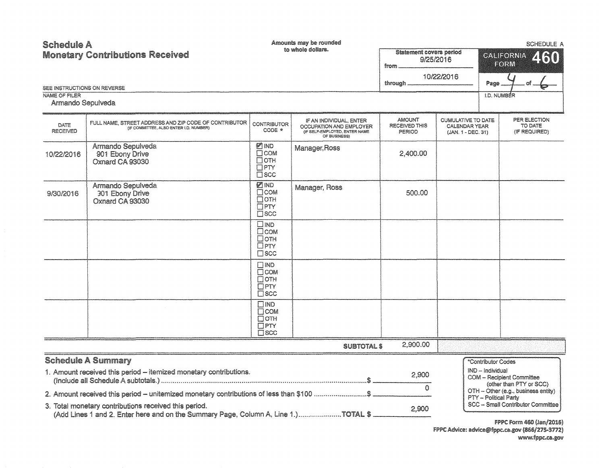## Amounts may be rounded **Schedule A** SCHEDULE A to whole dollars. **Statement covers period Monetary Contributions Received** CALIFORNIA 9/25/2016 **Exclean** from 10/22/2016 through Page SEE INSTRUCTIONS ON REVERSE **NAME OF FILER I.D. NUMBER** Armando Sepulveda **AMOUNT CUMULATIVE TO DATE** PER ELECTION IF AN INDIVIDUAL ENTER FULL NAME, STREET ADDRESS AND ZIP CODE OF CONTRIBUTOR CONTRIBUTOR DATE **RECEIVED THIS** TO DATE CALENDAR YEAR OCCUPATION AND EMPLOYER (IF COMMITTEE, ALSO ENTER I.D. NUMBER)  $CODE *$ **RECEIVED** (IF SELF-EMPLOYED, ENTER NAME (IF REQUIRED) PERIOD (JAN, 1 - DEC, 31) OF BUSINESS) Armando Sepulveda **Z**IND Manager, Ross  $\overline{\Gamma}$ COM 2,400.00 10/22/2016 901 Ebony Drive Потн Oxnard CA 93030  $\Box$ PTY  $\overline{\Box}$ scc **ZIND** Armando Sepulveda Manager, Ross  $\overline{\Gamma}$ COM **301 Ebony Drive** 500.00 9/30/2016  $\overline{\Gamma}$ OTH Oxnard CA 93030  $\Box$ PTY  $T$  scc  $\Box$  IND  $\Box$ COM  $\Box$  OTH  $\Box$ PTY  $\square$  scc  $\Box$ IND  $\overline{\Box}$  COM ПОТН  $\Box$ PTY  $\square$  scc  $\Box$  **MD**  $\Gamma$ COM  $\Box$ OTH  $\Box PT$  $T<sub>SCC</sub>$ 2,900.00 SUBTOTAL \$ **Schedule A Summary** \*Contributor Codes IND - Individual 1. Amount received this period - itemized monetary contributions. 2.900 **COM** - Recipient Committee (other than PTY or SCC)  $\Omega$ OTH - Other (e.g., business entity) 2. Amount received this period - unitermized monetary contributions of less than \$100 .......................\$ PTY - Political Party SCC - Small Contributor Committee 3. Total monetary contributions received this period. 2,900 (Add Lines 1 and 2. Enter here and on the Summary Page, Column A, Line 1.).....................TOTAL \$

FPPC Form 460 (Jan/2016) FPPC Advice: advice@fopc.ca.gov (866/275-3772) www.fppc.ca.gov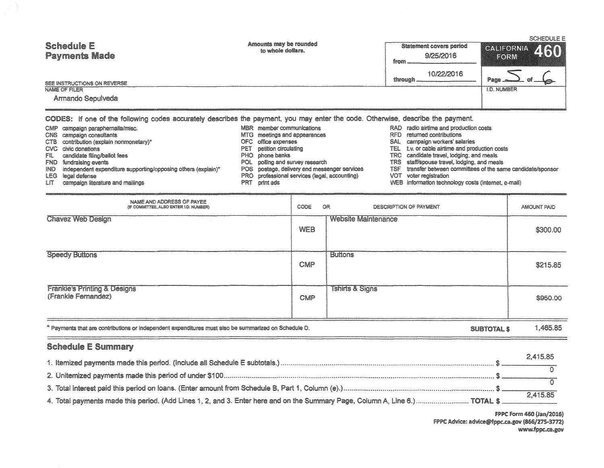|       |                                                                                                                                 |       |                                              | <b>SCHEDULE E</b> |                                                           |                    |  |
|-------|---------------------------------------------------------------------------------------------------------------------------------|-------|----------------------------------------------|-------------------|-----------------------------------------------------------|--------------------|--|
|       | <b>Schedule E</b>                                                                                                               |       | Amounts may be rounded<br>to whole dollars.  |                   | Statement covers period                                   | CALIFORNIA 460     |  |
|       | <b>Payments Made</b>                                                                                                            |       |                                              | from              | 9/25/2016                                                 | <b>EORM</b>        |  |
|       | SEE INSTRUCTIONS ON REVERSE                                                                                                     |       |                                              | through           | 10/22/2016                                                | $Page$ $\equiv$    |  |
|       | NAME OF FILER                                                                                                                   |       |                                              |                   |                                                           | <b>I.D. NUMBER</b> |  |
|       | Armando Sepulveda                                                                                                               |       |                                              |                   |                                                           |                    |  |
|       | CODES: If one of the following codes accurately describes the payment, you may enter the code. Otherwise, describe the payment. |       |                                              |                   |                                                           |                    |  |
|       | CMP campaign paraphernalia/misc.                                                                                                | MBR   | member communications                        |                   | RAD radio airtime and production costs                    |                    |  |
| CNS.  | campaign consultants                                                                                                            | MTG . | meetings and appearances                     | RFD.              | returned contributions                                    |                    |  |
| CTB.  | contribution (explain nonmonetary)*                                                                                             | OFC.  | office expenses                              | SAL               | campaign workers' salaries                                |                    |  |
| CVC   | civic donations                                                                                                                 | PET   | petition circulating                         | TEL               | t.y. or cable airtime and production costs                |                    |  |
| FIL.  | candidate filing/ballot fees                                                                                                    |       | PHO phone banks                              | TRC .             | candidate travel, lodging, and meals                      |                    |  |
| FND.  | fundraising events                                                                                                              |       | POL polling and survey research              | TRS.              | staff/spouse travel, lodging, and meals                   |                    |  |
| IND . | independent expenditure supporting/opposing others (explain)*                                                                   |       | POS postage, delivery and messenger services | TSF               | transfer between committees of the same candidate/sponsor |                    |  |

- 
- LEG legal defense<br>LEG legal defense<br>LIT campaign literature and mailings
- 
- PRO professional services (legal, accounting)<br>PRT print ads
- 
- 
- VOT voter registration<br>WEB information technology costs (internet, e-mail)

| NAME AND ADDRESS OF PAYEE<br>(IF COMMITTEE, ALSO ENTER I.D. NUMBER)                                  |            | OR.<br>CODE<br>DESCRIPTION OF PAYMENT |          |  |  |
|------------------------------------------------------------------------------------------------------|------------|---------------------------------------|----------|--|--|
| <b>Chavez Web Design</b>                                                                             | <b>WEB</b> | <b>Website Maintenance</b>            | \$300.00 |  |  |
| <b>Speedy Buttons</b>                                                                                | CMP        | <b>Buttons</b>                        | \$215.85 |  |  |
| <b>Frankle's Printing &amp; Designs</b><br>(Frankie Fernandez)                                       | CMP        | <b>Tshirts &amp; Signs</b>            | \$950.00 |  |  |
| * Payments that are contributions or independent expenditures must also be summarized on Schedule D. |            | <b>SUBTOTAL \$</b>                    | 1,465.85 |  |  |
| <b>Schedule E Summary</b>                                                                            |            |                                       |          |  |  |
|                                                                                                      |            |                                       | 2,415.85 |  |  |

| 4. Total payments made this period. (Add Lines 1, 2, and 3. Enter here and on the Summary Page, Column A, Line 6.) TOTAL \$. | 2.415.85 |
|------------------------------------------------------------------------------------------------------------------------------|----------|

FPPC Form 460 (Jan/2016) FPPC Advice: advice@fppc.ca.gov (866/275-3772) www.fppc.ca.gov